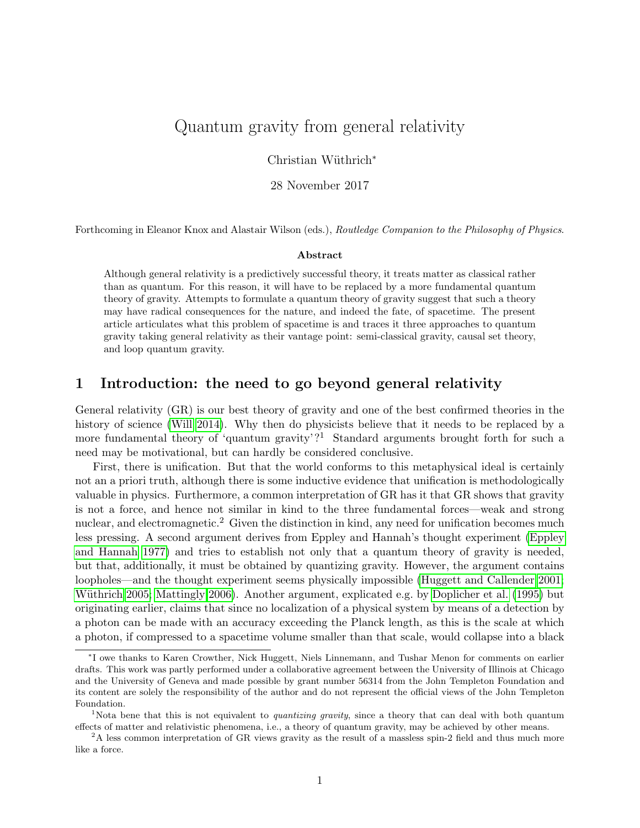# Quantum gravity from general relativity

Christian Wüthrich<sup>\*</sup>

28 November 2017

Forthcoming in Eleanor Knox and Alastair Wilson (eds.), Routledge Companion to the Philosophy of Physics.

#### Abstract

Although general relativity is a predictively successful theory, it treats matter as classical rather than as quantum. For this reason, it will have to be replaced by a more fundamental quantum theory of gravity. Attempts to formulate a quantum theory of gravity suggest that such a theory may have radical consequences for the nature, and indeed the fate, of spacetime. The present article articulates what this problem of spacetime is and traces it three approaches to quantum gravity taking general relativity as their vantage point: semi-classical gravity, causal set theory, and loop quantum gravity.

### 1 Introduction: the need to go beyond general relativity

General relativity (GR) is our best theory of gravity and one of the best confirmed theories in the history of science [\(Will 2014\)](#page-11-0). Why then do physicists believe that it needs to be replaced by a more fundamental theory of 'quantum gravity'?<sup>1</sup> Standard arguments brought forth for such a need may be motivational, but can hardly be considered conclusive.

First, there is unification. But that the world conforms to this metaphysical ideal is certainly not an a priori truth, although there is some inductive evidence that unification is methodologically valuable in physics. Furthermore, a common interpretation of GR has it that GR shows that gravity is not a force, and hence not similar in kind to the three fundamental forces—weak and strong nuclear, and electromagnetic.<sup>2</sup> Given the distinction in kind, any need for unification becomes much less pressing. A second argument derives from Eppley and Hannah's thought experiment [\(Eppley](#page-10-0) [and Hannah 1977\)](#page-10-0) and tries to establish not only that a quantum theory of gravity is needed, but that, additionally, it must be obtained by quantizing gravity. However, the argument contains loopholes—and the thought experiment seems physically impossible [\(Huggett and Callender 2001;](#page-10-1) Wüthrich 2005; [Mattingly 2006\)](#page-10-2). Another argument, explicated e.g. by [Doplicher et al.](#page-10-3) [\(1995\)](#page-10-3) but originating earlier, claims that since no localization of a physical system by means of a detection by a photon can be made with an accuracy exceeding the Planck length, as this is the scale at which a photon, if compressed to a spacetime volume smaller than that scale, would collapse into a black

<sup>∗</sup> I owe thanks to Karen Crowther, Nick Huggett, Niels Linnemann, and Tushar Menon for comments on earlier drafts. This work was partly performed under a collaborative agreement between the University of Illinois at Chicago and the University of Geneva and made possible by grant number 56314 from the John Templeton Foundation and its content are solely the responsibility of the author and do not represent the official views of the John Templeton Foundation.

<sup>&</sup>lt;sup>1</sup>Nota bene that this is not equivalent to *quantizing gravity*, since a theory that can deal with both quantum effects of matter and relativistic phenomena, i.e., a theory of quantum gravity, may be achieved by other means.

<sup>&</sup>lt;sup>2</sup>A less common interpretation of GR views gravity as the result of a massless spin-2 field and thus much more like a force.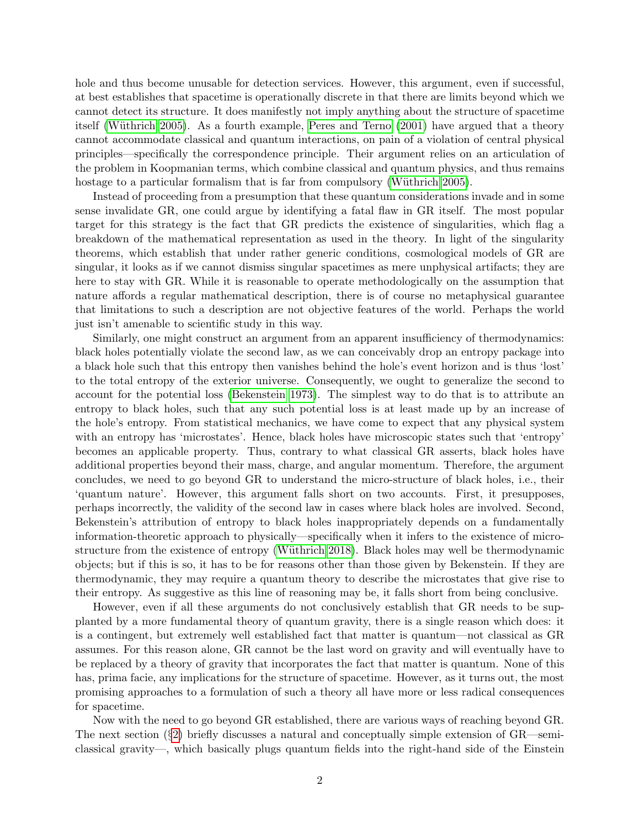hole and thus become unusable for detection services. However, this argument, even if successful, at best establishes that spacetime is operationally discrete in that there are limits beyond which we cannot detect its structure. It does manifestly not imply anything about the structure of spacetime itself (Wüthrich 2005). As a fourth example, [Peres and Terno](#page-10-4)  $(2001)$  have argued that a theory cannot accommodate classical and quantum interactions, on pain of a violation of central physical principles—specifically the correspondence principle. Their argument relies on an articulation of the problem in Koopmanian terms, which combine classical and quantum physics, and thus remains hostage to a particular formalism that is far from compulsory (Wüthrich 2005).

Instead of proceeding from a presumption that these quantum considerations invade and in some sense invalidate GR, one could argue by identifying a fatal flaw in GR itself. The most popular target for this strategy is the fact that GR predicts the existence of singularities, which flag a breakdown of the mathematical representation as used in the theory. In light of the singularity theorems, which establish that under rather generic conditions, cosmological models of GR are singular, it looks as if we cannot dismiss singular spacetimes as mere unphysical artifacts; they are here to stay with GR. While it is reasonable to operate methodologically on the assumption that nature affords a regular mathematical description, there is of course no metaphysical guarantee that limitations to such a description are not objective features of the world. Perhaps the world just isn't amenable to scientific study in this way.

Similarly, one might construct an argument from an apparent insufficiency of thermodynamics: black holes potentially violate the second law, as we can conceivably drop an entropy package into a black hole such that this entropy then vanishes behind the hole's event horizon and is thus 'lost' to the total entropy of the exterior universe. Consequently, we ought to generalize the second to account for the potential loss [\(Bekenstein 1973\)](#page-9-0). The simplest way to do that is to attribute an entropy to black holes, such that any such potential loss is at least made up by an increase of the hole's entropy. From statistical mechanics, we have come to expect that any physical system with an entropy has 'microstates'. Hence, black holes have microscopic states such that 'entropy' becomes an applicable property. Thus, contrary to what classical GR asserts, black holes have additional properties beyond their mass, charge, and angular momentum. Therefore, the argument concludes, we need to go beyond GR to understand the micro-structure of black holes, i.e., their 'quantum nature'. However, this argument falls short on two accounts. First, it presupposes, perhaps incorrectly, the validity of the second law in cases where black holes are involved. Second, Bekenstein's attribution of entropy to black holes inappropriately depends on a fundamentally information-theoretic approach to physically—specifically when it infers to the existence of microstructure from the existence of entropy (Wüthrich 2018). Black holes may well be thermodynamic objects; but if this is so, it has to be for reasons other than those given by Bekenstein. If they are thermodynamic, they may require a quantum theory to describe the microstates that give rise to their entropy. As suggestive as this line of reasoning may be, it falls short from being conclusive.

However, even if all these arguments do not conclusively establish that GR needs to be supplanted by a more fundamental theory of quantum gravity, there is a single reason which does: it is a contingent, but extremely well established fact that matter is quantum—not classical as GR assumes. For this reason alone, GR cannot be the last word on gravity and will eventually have to be replaced by a theory of gravity that incorporates the fact that matter is quantum. None of this has, prima facie, any implications for the structure of spacetime. However, as it turns out, the most promising approaches to a formulation of such a theory all have more or less radical consequences for spacetime.

Now with the need to go beyond GR established, there are various ways of reaching beyond GR. The next section (§[2\)](#page-2-0) briefly discusses a natural and conceptually simple extension of GR—semiclassical gravity—, which basically plugs quantum fields into the right-hand side of the Einstein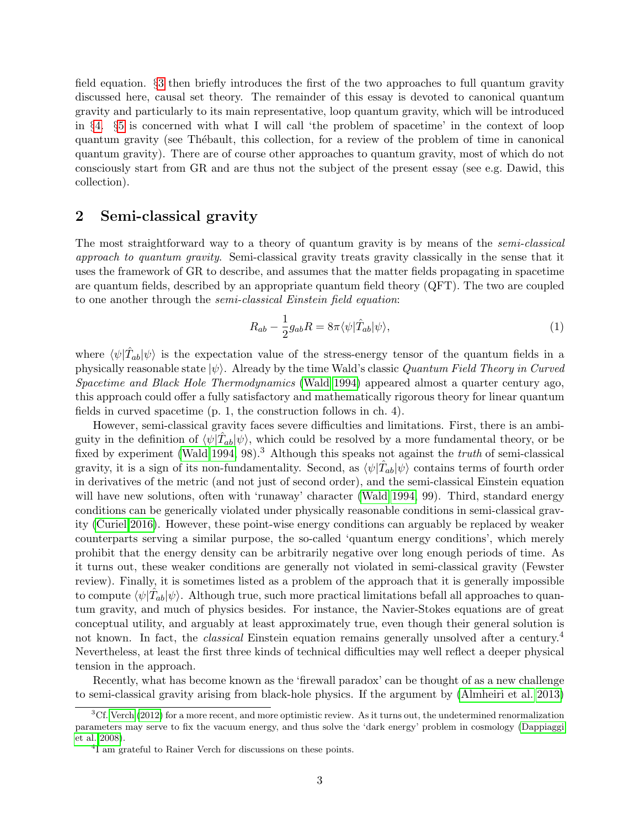field equation. §[3](#page-3-0) then briefly introduces the first of the two approaches to full quantum gravity discussed here, causal set theory. The remainder of this essay is devoted to canonical quantum gravity and particularly to its main representative, loop quantum gravity, which will be introduced in §[4.](#page-5-0) §[5](#page-7-0) is concerned with what I will call 'the problem of spacetime' in the context of loop quantum gravity (see Th´ebault, this collection, for a review of the problem of time in canonical quantum gravity). There are of course other approaches to quantum gravity, most of which do not consciously start from GR and are thus not the subject of the present essay (see e.g. Dawid, this collection).

#### <span id="page-2-0"></span>2 Semi-classical gravity

The most straightforward way to a theory of quantum gravity is by means of the *semi-classical* approach to quantum gravity. Semi-classical gravity treats gravity classically in the sense that it uses the framework of GR to describe, and assumes that the matter fields propagating in spacetime are quantum fields, described by an appropriate quantum field theory (QFT). The two are coupled to one another through the semi-classical Einstein field equation:

$$
R_{ab} - \frac{1}{2}g_{ab}R = 8\pi \langle \psi | \hat{T}_{ab} | \psi \rangle, \qquad (1)
$$

where  $\langle \psi | \hat{T}_{ab} | \psi \rangle$  is the expectation value of the stress-energy tensor of the quantum fields in a physically reasonable state  $|\psi\rangle$ . Already by the time Wald's classic Quantum Field Theory in Curved Spacetime and Black Hole Thermodynamics [\(Wald 1994\)](#page-11-3) appeared almost a quarter century ago, this approach could offer a fully satisfactory and mathematically rigorous theory for linear quantum fields in curved spacetime (p. 1, the construction follows in ch. 4).

However, semi-classical gravity faces severe difficulties and limitations. First, there is an ambiguity in the definition of  $\langle \psi | \hat{T}_{ab} | \psi \rangle$ , which could be resolved by a more fundamental theory, or be fixed by experiment [\(Wald 1994,](#page-11-3) 98).<sup>3</sup> Although this speaks not against the *truth* of semi-classical gravity, it is a sign of its non-fundamentality. Second, as  $\langle \psi | \hat{T}_{ab} | \psi \rangle$  contains terms of fourth order in derivatives of the metric (and not just of second order), and the semi-classical Einstein equation will have new solutions, often with 'runaway' character [\(Wald 1994,](#page-11-3) 99). Third, standard energy conditions can be generically violated under physically reasonable conditions in semi-classical gravity [\(Curiel 2016\)](#page-9-1). However, these point-wise energy conditions can arguably be replaced by weaker counterparts serving a similar purpose, the so-called 'quantum energy conditions', which merely prohibit that the energy density can be arbitrarily negative over long enough periods of time. As it turns out, these weaker conditions are generally not violated in semi-classical gravity (Fewster review). Finally, it is sometimes listed as a problem of the approach that it is generally impossible to compute  $\langle \psi | \hat{T}_{ab} | \psi \rangle$ . Although true, such more practical limitations befall all approaches to quantum gravity, and much of physics besides. For instance, the Navier-Stokes equations are of great conceptual utility, and arguably at least approximately true, even though their general solution is not known. In fact, the *classical* Einstein equation remains generally unsolved after a century.<sup>4</sup> Nevertheless, at least the first three kinds of technical difficulties may well reflect a deeper physical tension in the approach.

Recently, what has become known as the 'firewall paradox' can be thought of as a new challenge to semi-classical gravity arising from black-hole physics. If the argument by [\(Almheiri et al. 2013\)](#page-9-2)

 ${}^{3}$ Cf. [Verch](#page-11-4) [\(2012\)](#page-11-4) for a more recent, and more optimistic review. As it turns out, the undetermined renormalization parameters may serve to fix the vacuum energy, and thus solve the 'dark energy' problem in cosmology [\(Dappiaggi](#page-9-3) [et al. 2008\)](#page-9-3).

<sup>4</sup> I am grateful to Rainer Verch for discussions on these points.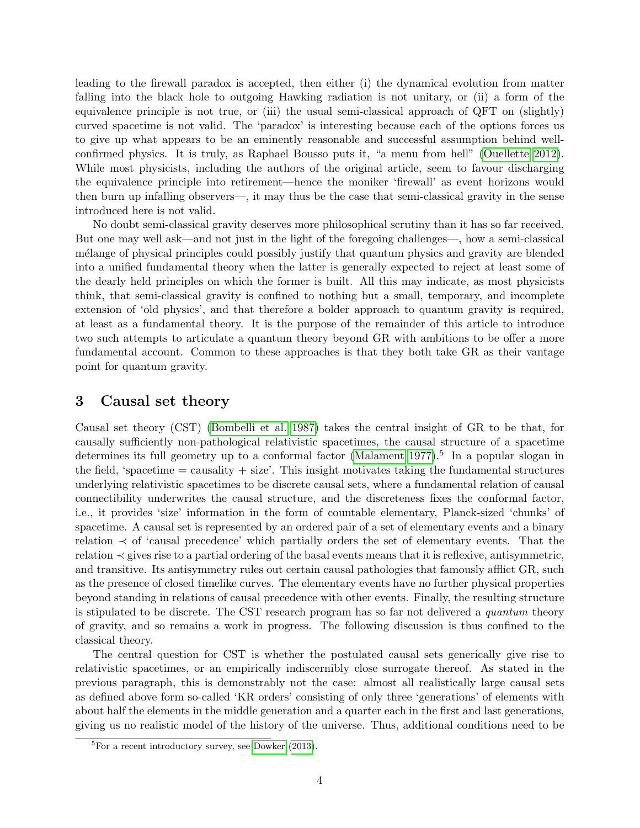leading to the firewall paradox is accepted, then either (i) the dynamical evolution from matter falling into the black hole to outgoing Hawking radiation is not unitary, or (ii) a form of the equivalence principle is not true, or (iii) the usual semi-classical approach of QFT on (slightly) curved spacetime is not valid. The 'paradox' is interesting because each of the options forces us to give up what appears to be an eminently reasonable and successful assumption behind wellconfirmed physics. It is truly, as Raphael Bousso puts it, "a menu from hell" [\(Ouellette 2012\)](#page-10-5). While most physicists, including the authors of the original article, seem to favour discharging the equivalence principle into retirement—hence the moniker 'firewall' as event horizons would then burn up infalling observers—, it may thus be the case that semi-classical gravity in the sense introduced here is not valid.

No doubt semi-classical gravity deserves more philosophical scrutiny than it has so far received. But one may well ask—and not just in the light of the foregoing challenges—, how a semi-classical m´elange of physical principles could possibly justify that quantum physics and gravity are blended into a unified fundamental theory when the latter is generally expected to reject at least some of the dearly held principles on which the former is built. All this may indicate, as most physicists think, that semi-classical gravity is confined to nothing but a small, temporary, and incomplete extension of 'old physics', and that therefore a bolder approach to quantum gravity is required, at least as a fundamental theory. It is the purpose of the remainder of this article to introduce two such attempts to articulate a quantum theory beyond GR with ambitions to be offer a more fundamental account. Common to these approaches is that they both take GR as their vantage point for quantum gravity.

#### <span id="page-3-0"></span>3 Causal set theory

Causal set theory (CST) [\(Bombelli et al. 1987\)](#page-9-4) takes the central insight of GR to be that, for causally sufficiently non-pathological relativistic spacetimes, the causal structure of a spacetime determines its full geometry up to a conformal factor [\(Malament 1977\)](#page-10-6).<sup>5</sup> In a popular slogan in the field, 'spacetime  $=$  causality  $+$  size'. This insight motivates taking the fundamental structures underlying relativistic spacetimes to be discrete causal sets, where a fundamental relation of causal connectibility underwrites the causal structure, and the discreteness fixes the conformal factor, i.e., it provides 'size' information in the form of countable elementary, Planck-sized 'chunks' of spacetime. A causal set is represented by an ordered pair of a set of elementary events and a binary relation ≺ of 'causal precedence' which partially orders the set of elementary events. That the relation ≺ gives rise to a partial ordering of the basal events means that it is reflexive, antisymmetric, and transitive. Its antisymmetry rules out certain causal pathologies that famously afflict GR, such as the presence of closed timelike curves. The elementary events have no further physical properties beyond standing in relations of causal precedence with other events. Finally, the resulting structure is stipulated to be discrete. The CST research program has so far not delivered a quantum theory of gravity, and so remains a work in progress. The following discussion is thus confined to the classical theory.

The central question for CST is whether the postulated causal sets generically give rise to relativistic spacetimes, or an empirically indiscernibly close surrogate thereof. As stated in the previous paragraph, this is demonstrably not the case: almost all realistically large causal sets as defined above form so-called 'KR orders' consisting of only three 'generations' of elements with about half the elements in the middle generation and a quarter each in the first and last generations, giving us no realistic model of the history of the universe. Thus, additional conditions need to be

 ${}^{5}$ For a recent introductory survey, see [Dowker](#page-10-7) [\(2013\)](#page-10-7).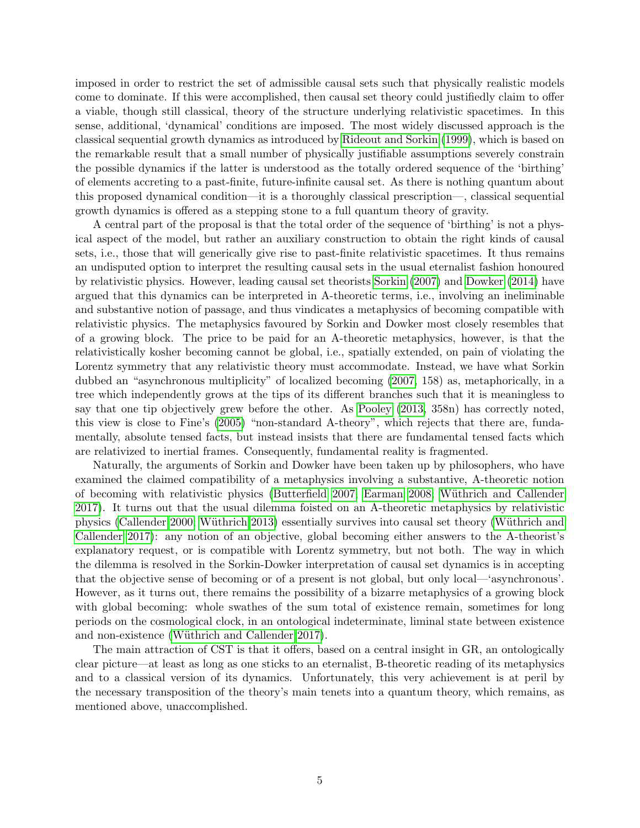imposed in order to restrict the set of admissible causal sets such that physically realistic models come to dominate. If this were accomplished, then causal set theory could justifiedly claim to offer a viable, though still classical, theory of the structure underlying relativistic spacetimes. In this sense, additional, 'dynamical' conditions are imposed. The most widely discussed approach is the classical sequential growth dynamics as introduced by [Rideout and Sorkin](#page-10-8) [\(1999\)](#page-10-8), which is based on the remarkable result that a small number of physically justifiable assumptions severely constrain the possible dynamics if the latter is understood as the totally ordered sequence of the 'birthing' of elements accreting to a past-finite, future-infinite causal set. As there is nothing quantum about this proposed dynamical condition—it is a thoroughly classical prescription—, classical sequential growth dynamics is offered as a stepping stone to a full quantum theory of gravity.

A central part of the proposal is that the total order of the sequence of 'birthing' is not a physical aspect of the model, but rather an auxiliary construction to obtain the right kinds of causal sets, i.e., those that will generically give rise to past-finite relativistic spacetimes. It thus remains an undisputed option to interpret the resulting causal sets in the usual eternalist fashion honoured by relativistic physics. However, leading causal set theorists [Sorkin](#page-11-5) [\(2007\)](#page-11-5) and [Dowker](#page-10-9) [\(2014\)](#page-10-9) have argued that this dynamics can be interpreted in A-theoretic terms, i.e., involving an ineliminable and substantive notion of passage, and thus vindicates a metaphysics of becoming compatible with relativistic physics. The metaphysics favoured by Sorkin and Dowker most closely resembles that of a growing block. The price to be paid for an A-theoretic metaphysics, however, is that the relativistically kosher becoming cannot be global, i.e., spatially extended, on pain of violating the Lorentz symmetry that any relativistic theory must accommodate. Instead, we have what Sorkin dubbed an "asynchronous multiplicity" of localized becoming [\(2007,](#page-11-5) 158) as, metaphorically, in a tree which independently grows at the tips of its different branches such that it is meaningless to say that one tip objectively grew before the other. As [Pooley](#page-10-10) [\(2013,](#page-10-10) 358n) has correctly noted, this view is close to Fine's [\(2005\)](#page-10-11) "non-standard A-theory", which rejects that there are, fundamentally, absolute tensed facts, but instead insists that there are fundamental tensed facts which are relativized to inertial frames. Consequently, fundamental reality is fragmented.

Naturally, the arguments of Sorkin and Dowker have been taken up by philosophers, who have examined the claimed compatibility of a metaphysics involving a substantive, A-theoretic notion of becoming with relativistic physics [\(Butterfield 2007;](#page-9-5) [Earman 2008;](#page-10-12) [W¨uthrich and Callender](#page-11-6) [2017\)](#page-11-6). It turns out that the usual dilemma foisted on an A-theoretic metaphysics by relativistic physics [\(Callender 2000;](#page-9-6) Wüthrich 2013) essentially survives into causal set theory (Wüthrich and [Callender 2017\)](#page-11-6): any notion of an objective, global becoming either answers to the A-theorist's explanatory request, or is compatible with Lorentz symmetry, but not both. The way in which the dilemma is resolved in the Sorkin-Dowker interpretation of causal set dynamics is in accepting that the objective sense of becoming or of a present is not global, but only local—'asynchronous'. However, as it turns out, there remains the possibility of a bizarre metaphysics of a growing block with global becoming: whole swathes of the sum total of existence remain, sometimes for long periods on the cosmological clock, in an ontological indeterminate, liminal state between existence and non-existence (Wüthrich and Callender 2017).

The main attraction of CST is that it offers, based on a central insight in GR, an ontologically clear picture—at least as long as one sticks to an eternalist, B-theoretic reading of its metaphysics and to a classical version of its dynamics. Unfortunately, this very achievement is at peril by the necessary transposition of the theory's main tenets into a quantum theory, which remains, as mentioned above, unaccomplished.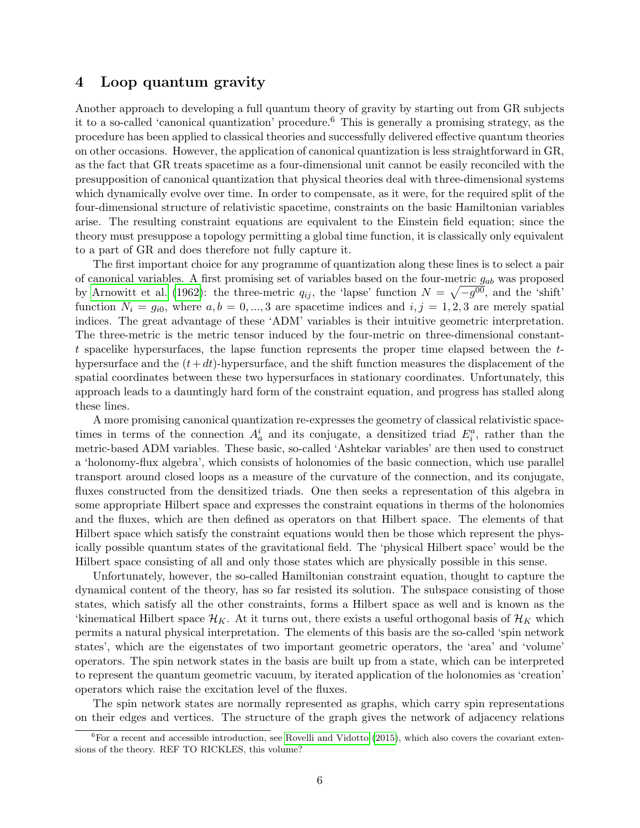#### <span id="page-5-0"></span>4 Loop quantum gravity

Another approach to developing a full quantum theory of gravity by starting out from GR subjects it to a so-called 'canonical quantization' procedure.<sup>6</sup> This is generally a promising strategy, as the procedure has been applied to classical theories and successfully delivered effective quantum theories on other occasions. However, the application of canonical quantization is less straightforward in GR, as the fact that GR treats spacetime as a four-dimensional unit cannot be easily reconciled with the presupposition of canonical quantization that physical theories deal with three-dimensional systems which dynamically evolve over time. In order to compensate, as it were, for the required split of the four-dimensional structure of relativistic spacetime, constraints on the basic Hamiltonian variables arise. The resulting constraint equations are equivalent to the Einstein field equation; since the theory must presuppose a topology permitting a global time function, it is classically only equivalent to a part of GR and does therefore not fully capture it.

The first important choice for any programme of quantization along these lines is to select a pair of canonical variables. A first promising set of variables based on the four-metric  $g_{ab}$  was proposed by [Arnowitt et al.](#page-9-7) [\(1962\)](#page-9-7): the three-metric  $q_{ij}$ , the 'lapse' function  $N = \sqrt{-g^{00}}$ , and the 'shift' function  $N_i = g_{i0}$ , where  $a, b = 0, ..., 3$  are spacetime indices and  $i, j = 1, 2, 3$  are merely spatial indices. The great advantage of these 'ADM' variables is their intuitive geometric interpretation. The three-metric is the metric tensor induced by the four-metric on three-dimensional constantt spacelike hypersurfaces, the lapse function represents the proper time elapsed between the  $t$ hypersurface and the  $(t+dt)$ -hypersurface, and the shift function measures the displacement of the spatial coordinates between these two hypersurfaces in stationary coordinates. Unfortunately, this approach leads to a dauntingly hard form of the constraint equation, and progress has stalled along these lines.

A more promising canonical quantization re-expresses the geometry of classical relativistic spacetimes in terms of the connection  $A_a^i$  and its conjugate, a densitized triad  $E_i^a$ , rather than the metric-based ADM variables. These basic, so-called 'Ashtekar variables' are then used to construct a 'holonomy-flux algebra', which consists of holonomies of the basic connection, which use parallel transport around closed loops as a measure of the curvature of the connection, and its conjugate, fluxes constructed from the densitized triads. One then seeks a representation of this algebra in some appropriate Hilbert space and expresses the constraint equations in therms of the holonomies and the fluxes, which are then defined as operators on that Hilbert space. The elements of that Hilbert space which satisfy the constraint equations would then be those which represent the physically possible quantum states of the gravitational field. The 'physical Hilbert space' would be the Hilbert space consisting of all and only those states which are physically possible in this sense.

Unfortunately, however, the so-called Hamiltonian constraint equation, thought to capture the dynamical content of the theory, has so far resisted its solution. The subspace consisting of those states, which satisfy all the other constraints, forms a Hilbert space as well and is known as the 'kinematical Hilbert space  $\mathcal{H}_K$ . At it turns out, there exists a useful orthogonal basis of  $\mathcal{H}_K$  which permits a natural physical interpretation. The elements of this basis are the so-called 'spin network states', which are the eigenstates of two important geometric operators, the 'area' and 'volume' operators. The spin network states in the basis are built up from a state, which can be interpreted to represent the quantum geometric vacuum, by iterated application of the holonomies as 'creation' operators which raise the excitation level of the fluxes.

The spin network states are normally represented as graphs, which carry spin representations on their edges and vertices. The structure of the graph gives the network of adjacency relations

 ${}^{6}$  For a recent and accessible introduction, see [Rovelli and Vidotto](#page-11-8) [\(2015\)](#page-11-8), which also covers the covariant extensions of the theory. REF TO RICKLES, this volume?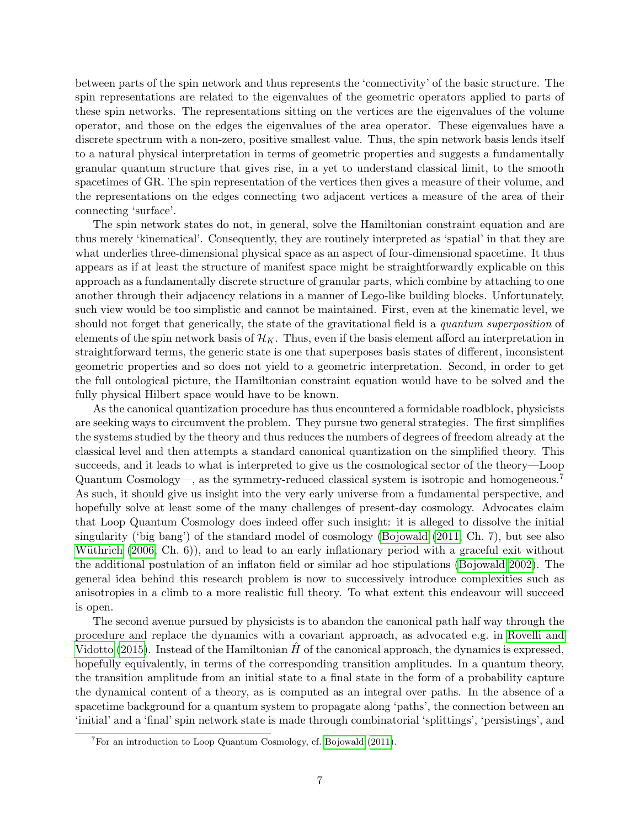between parts of the spin network and thus represents the 'connectivity' of the basic structure. The spin representations are related to the eigenvalues of the geometric operators applied to parts of these spin networks. The representations sitting on the vertices are the eigenvalues of the volume operator, and those on the edges the eigenvalues of the area operator. These eigenvalues have a discrete spectrum with a non-zero, positive smallest value. Thus, the spin network basis lends itself to a natural physical interpretation in terms of geometric properties and suggests a fundamentally granular quantum structure that gives rise, in a yet to understand classical limit, to the smooth spacetimes of GR. The spin representation of the vertices then gives a measure of their volume, and the representations on the edges connecting two adjacent vertices a measure of the area of their connecting 'surface'.

The spin network states do not, in general, solve the Hamiltonian constraint equation and are thus merely 'kinematical'. Consequently, they are routinely interpreted as 'spatial' in that they are what underlies three-dimensional physical space as an aspect of four-dimensional spacetime. It thus appears as if at least the structure of manifest space might be straightforwardly explicable on this approach as a fundamentally discrete structure of granular parts, which combine by attaching to one another through their adjacency relations in a manner of Lego-like building blocks. Unfortunately, such view would be too simplistic and cannot be maintained. First, even at the kinematic level, we should not forget that generically, the state of the gravitational field is a *quantum superposition* of elements of the spin network basis of  $\mathcal{H}_K$ . Thus, even if the basis element afford an interpretation in straightforward terms, the generic state is one that superposes basis states of different, inconsistent geometric properties and so does not yield to a geometric interpretation. Second, in order to get the full ontological picture, the Hamiltonian constraint equation would have to be solved and the fully physical Hilbert space would have to be known.

As the canonical quantization procedure has thus encountered a formidable roadblock, physicists are seeking ways to circumvent the problem. They pursue two general strategies. The first simplifies the systems studied by the theory and thus reduces the numbers of degrees of freedom already at the classical level and then attempts a standard canonical quantization on the simplified theory. This succeeds, and it leads to what is interpreted to give us the cosmological sector of the theory—Loop Quantum Cosmology—, as the symmetry-reduced classical system is isotropic and homogeneous.<sup>7</sup> As such, it should give us insight into the very early universe from a fundamental perspective, and hopefully solve at least some of the many challenges of present-day cosmology. Advocates claim that Loop Quantum Cosmology does indeed offer such insight: it is alleged to dissolve the initial singularity ('big bang') of the standard model of cosmology [\(Bojowald](#page-9-8) [\(2011,](#page-9-8) Ch. 7), but see also Wüthrich  $(2006, Ch. 6)$  $(2006, Ch. 6)$ , and to lead to an early inflationary period with a graceful exit without the additional postulation of an inflaton field or similar ad hoc stipulations [\(Bojowald 2002\)](#page-9-9). The general idea behind this research problem is now to successively introduce complexities such as anisotropies in a climb to a more realistic full theory. To what extent this endeavour will succeed is open.

The second avenue pursued by physicists is to abandon the canonical path half way through the procedure and replace the dynamics with a covariant approach, as advocated e.g. in [Rovelli and](#page-11-8) [Vidotto](#page-11-8) [\(2015\)](#page-11-8). Instead of the Hamiltonian  $\hat{H}$  of the canonical approach, the dynamics is expressed, hopefully equivalently, in terms of the corresponding transition amplitudes. In a quantum theory, the transition amplitude from an initial state to a final state in the form of a probability capture the dynamical content of a theory, as is computed as an integral over paths. In the absence of a spacetime background for a quantum system to propagate along 'paths', the connection between an 'initial' and a 'final' spin network state is made through combinatorial 'splittings', 'persistings', and

<sup>7</sup>For an introduction to Loop Quantum Cosmology, cf. [Bojowald](#page-9-8) [\(2011\)](#page-9-8).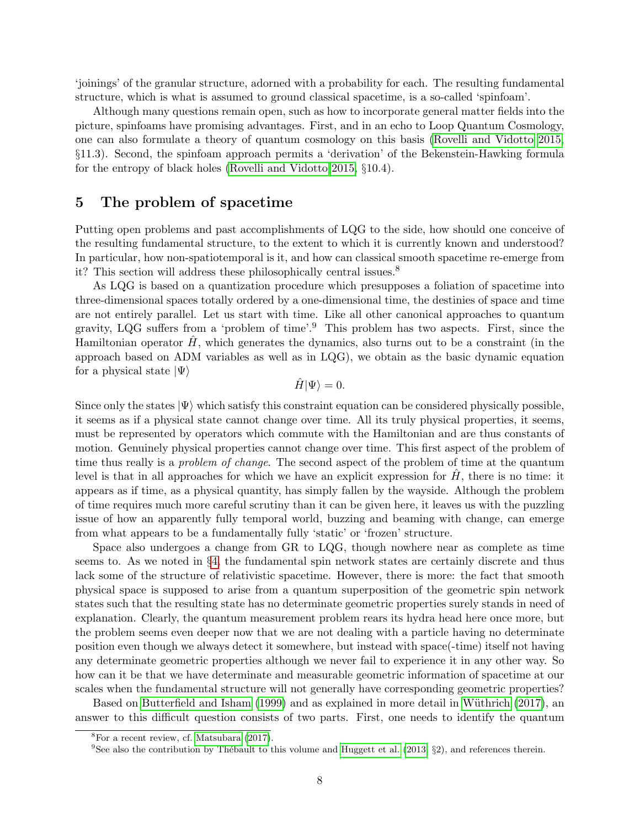'joinings' of the granular structure, adorned with a probability for each. The resulting fundamental structure, which is what is assumed to ground classical spacetime, is a so-called 'spinfoam'.

Although many questions remain open, such as how to incorporate general matter fields into the picture, spinfoams have promising advantages. First, and in an echo to Loop Quantum Cosmology, one can also formulate a theory of quantum cosmology on this basis [\(Rovelli and Vidotto 2015,](#page-11-8) §11.3). Second, the spinfoam approach permits a 'derivation' of the Bekenstein-Hawking formula for the entropy of black holes [\(Rovelli and Vidotto 2015,](#page-11-8) §10.4).

# <span id="page-7-0"></span>5 The problem of spacetime

Putting open problems and past accomplishments of LQG to the side, how should one conceive of the resulting fundamental structure, to the extent to which it is currently known and understood? In particular, how non-spatiotemporal is it, and how can classical smooth spacetime re-emerge from it? This section will address these philosophically central issues.<sup>8</sup>

As LQG is based on a quantization procedure which presupposes a foliation of spacetime into three-dimensional spaces totally ordered by a one-dimensional time, the destinies of space and time are not entirely parallel. Let us start with time. Like all other canonical approaches to quantum gravity, LQG suffers from a 'problem of time'.<sup>9</sup> This problem has two aspects. First, since the Hamiltonian operator  $H$ , which generates the dynamics, also turns out to be a constraint (in the approach based on ADM variables as well as in LQG), we obtain as the basic dynamic equation for a physical state  $|\Psi\rangle$ 

$$
\hat{H}|\Psi\rangle = 0.
$$

Since only the states  $|\Psi\rangle$  which satisfy this constraint equation can be considered physically possible, it seems as if a physical state cannot change over time. All its truly physical properties, it seems, must be represented by operators which commute with the Hamiltonian and are thus constants of motion. Genuinely physical properties cannot change over time. This first aspect of the problem of time thus really is a *problem of change*. The second aspect of the problem of time at the quantum level is that in all approaches for which we have an explicit expression for  $H$ , there is no time: it appears as if time, as a physical quantity, has simply fallen by the wayside. Although the problem of time requires much more careful scrutiny than it can be given here, it leaves us with the puzzling issue of how an apparently fully temporal world, buzzing and beaming with change, can emerge from what appears to be a fundamentally fully 'static' or 'frozen' structure.

Space also undergoes a change from GR to LQG, though nowhere near as complete as time seems to. As we noted in §[4,](#page-5-0) the fundamental spin network states are certainly discrete and thus lack some of the structure of relativistic spacetime. However, there is more: the fact that smooth physical space is supposed to arise from a quantum superposition of the geometric spin network states such that the resulting state has no determinate geometric properties surely stands in need of explanation. Clearly, the quantum measurement problem rears its hydra head here once more, but the problem seems even deeper now that we are not dealing with a particle having no determinate position even though we always detect it somewhere, but instead with space(-time) itself not having any determinate geometric properties although we never fail to experience it in any other way. So how can it be that we have determinate and measurable geometric information of spacetime at our scales when the fundamental structure will not generally have corresponding geometric properties?

Based on [Butterfield and Isham](#page-9-10) [\(1999\)](#page-9-10) and as explained in more detail in Wüthrich [\(2017\)](#page-11-10), an answer to this difficult question consists of two parts. First, one needs to identify the quantum

 ${}^{8}$ For a recent review, cf. [Matsubara](#page-10-13) [\(2017\)](#page-10-13).

<sup>&</sup>lt;sup>9</sup>See also the contribution by Thébault to this volume and [Huggett et al.](#page-10-14) [\(2013,](#page-10-14) §2), and references therein.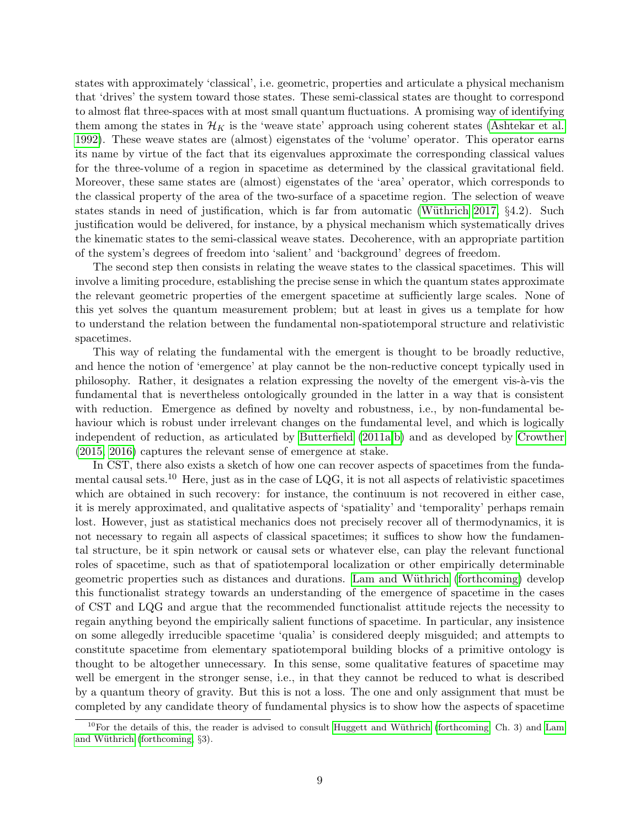states with approximately 'classical', i.e. geometric, properties and articulate a physical mechanism that 'drives' the system toward those states. These semi-classical states are thought to correspond to almost flat three-spaces with at most small quantum fluctuations. A promising way of identifying them among the states in  $\mathcal{H}_K$  is the 'weave state' approach using coherent states [\(Ashtekar et al.](#page-9-11) [1992\)](#page-9-11). These weave states are (almost) eigenstates of the 'volume' operator. This operator earns its name by virtue of the fact that its eigenvalues approximate the corresponding classical values for the three-volume of a region in spacetime as determined by the classical gravitational field. Moreover, these same states are (almost) eigenstates of the 'area' operator, which corresponds to the classical property of the area of the two-surface of a spacetime region. The selection of weave states stands in need of justification, which is far from automatic (Wüthrich 2017,  $\S 4.2$ ). Such justification would be delivered, for instance, by a physical mechanism which systematically drives the kinematic states to the semi-classical weave states. Decoherence, with an appropriate partition of the system's degrees of freedom into 'salient' and 'background' degrees of freedom.

The second step then consists in relating the weave states to the classical spacetimes. This will involve a limiting procedure, establishing the precise sense in which the quantum states approximate the relevant geometric properties of the emergent spacetime at sufficiently large scales. None of this yet solves the quantum measurement problem; but at least in gives us a template for how to understand the relation between the fundamental non-spatiotemporal structure and relativistic spacetimes.

This way of relating the fundamental with the emergent is thought to be broadly reductive, and hence the notion of 'emergence' at play cannot be the non-reductive concept typically used in philosophy. Rather, it designates a relation expressing the novelty of the emergent vis-à-vis the fundamental that is nevertheless ontologically grounded in the latter in a way that is consistent with reduction. Emergence as defined by novelty and robustness, i.e., by non-fundamental behaviour which is robust under irrelevant changes on the fundamental level, and which is logically independent of reduction, as articulated by [Butterfield](#page-9-12) [\(2011a,](#page-9-12)[b\)](#page-9-13) and as developed by [Crowther](#page-9-14) [\(2015,](#page-9-14) [2016\)](#page-9-15) captures the relevant sense of emergence at stake.

In CST, there also exists a sketch of how one can recover aspects of spacetimes from the fundamental causal sets.<sup>10</sup> Here, just as in the case of LQG, it is not all aspects of relativistic spacetimes which are obtained in such recovery: for instance, the continuum is not recovered in either case, it is merely approximated, and qualitative aspects of 'spatiality' and 'temporality' perhaps remain lost. However, just as statistical mechanics does not precisely recover all of thermodynamics, it is not necessary to regain all aspects of classical spacetimes; it suffices to show how the fundamental structure, be it spin network or causal sets or whatever else, can play the relevant functional roles of spacetime, such as that of spatiotemporal localization or other empirically determinable geometric properties such as distances and durations. Lam and Wüthrich [\(forthcoming\)](#page-10-15) develop this functionalist strategy towards an understanding of the emergence of spacetime in the cases of CST and LQG and argue that the recommended functionalist attitude rejects the necessity to regain anything beyond the empirically salient functions of spacetime. In particular, any insistence on some allegedly irreducible spacetime 'qualia' is considered deeply misguided; and attempts to constitute spacetime from elementary spatiotemporal building blocks of a primitive ontology is thought to be altogether unnecessary. In this sense, some qualitative features of spacetime may well be emergent in the stronger sense, i.e., in that they cannot be reduced to what is described by a quantum theory of gravity. But this is not a loss. The one and only assignment that must be completed by any candidate theory of fundamental physics is to show how the aspects of spacetime

 $10$ For the details of this, the reader is advised to consult Huggett and Wüthrich [\(forthcoming,](#page-10-16) Ch. 3) and [Lam](#page-10-15) and Wüthrich [\(forthcoming,](#page-10-15)  $\S$ 3).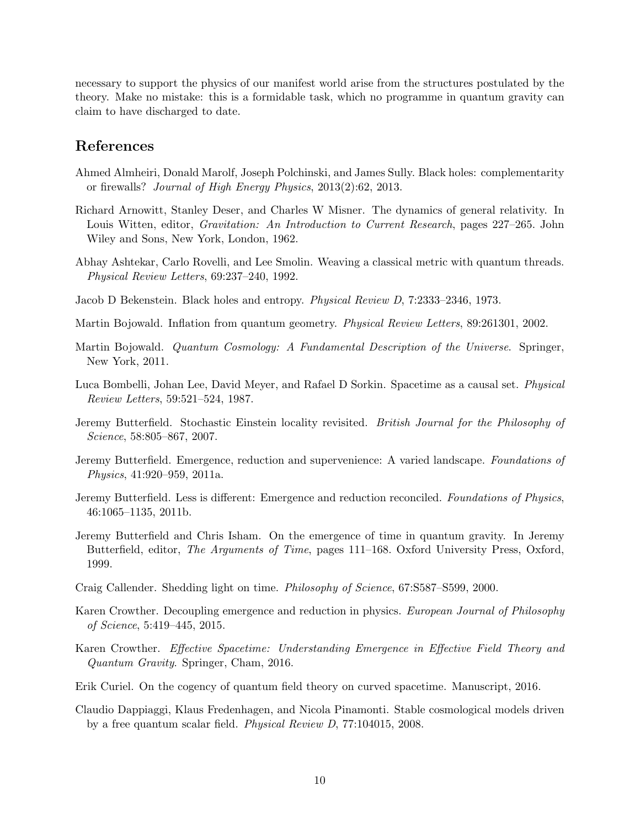necessary to support the physics of our manifest world arise from the structures postulated by the theory. Make no mistake: this is a formidable task, which no programme in quantum gravity can claim to have discharged to date.

## References

- <span id="page-9-2"></span>Ahmed Almheiri, Donald Marolf, Joseph Polchinski, and James Sully. Black holes: complementarity or firewalls? Journal of High Energy Physics, 2013(2):62, 2013.
- <span id="page-9-7"></span>Richard Arnowitt, Stanley Deser, and Charles W Misner. The dynamics of general relativity. In Louis Witten, editor, Gravitation: An Introduction to Current Research, pages 227–265. John Wiley and Sons, New York, London, 1962.
- <span id="page-9-11"></span>Abhay Ashtekar, Carlo Rovelli, and Lee Smolin. Weaving a classical metric with quantum threads. Physical Review Letters, 69:237–240, 1992.
- <span id="page-9-0"></span>Jacob D Bekenstein. Black holes and entropy. Physical Review D, 7:2333–2346, 1973.
- <span id="page-9-9"></span>Martin Bojowald. Inflation from quantum geometry. Physical Review Letters, 89:261301, 2002.
- <span id="page-9-8"></span>Martin Bojowald. Quantum Cosmology: A Fundamental Description of the Universe. Springer, New York, 2011.
- <span id="page-9-4"></span>Luca Bombelli, Johan Lee, David Meyer, and Rafael D Sorkin. Spacetime as a causal set. Physical Review Letters, 59:521–524, 1987.
- <span id="page-9-5"></span>Jeremy Butterfield. Stochastic Einstein locality revisited. British Journal for the Philosophy of Science, 58:805–867, 2007.
- <span id="page-9-12"></span>Jeremy Butterfield. Emergence, reduction and supervenience: A varied landscape. Foundations of Physics, 41:920–959, 2011a.
- <span id="page-9-13"></span>Jeremy Butterfield. Less is different: Emergence and reduction reconciled. Foundations of Physics, 46:1065–1135, 2011b.
- <span id="page-9-10"></span>Jeremy Butterfield and Chris Isham. On the emergence of time in quantum gravity. In Jeremy Butterfield, editor, The Arguments of Time, pages 111–168. Oxford University Press, Oxford, 1999.
- <span id="page-9-6"></span>Craig Callender. Shedding light on time. Philosophy of Science, 67:S587–S599, 2000.
- <span id="page-9-14"></span>Karen Crowther. Decoupling emergence and reduction in physics. European Journal of Philosophy of Science, 5:419–445, 2015.
- <span id="page-9-15"></span>Karen Crowther. Effective Spacetime: Understanding Emergence in Effective Field Theory and Quantum Gravity. Springer, Cham, 2016.
- <span id="page-9-1"></span>Erik Curiel. On the cogency of quantum field theory on curved spacetime. Manuscript, 2016.
- <span id="page-9-3"></span>Claudio Dappiaggi, Klaus Fredenhagen, and Nicola Pinamonti. Stable cosmological models driven by a free quantum scalar field. Physical Review D, 77:104015, 2008.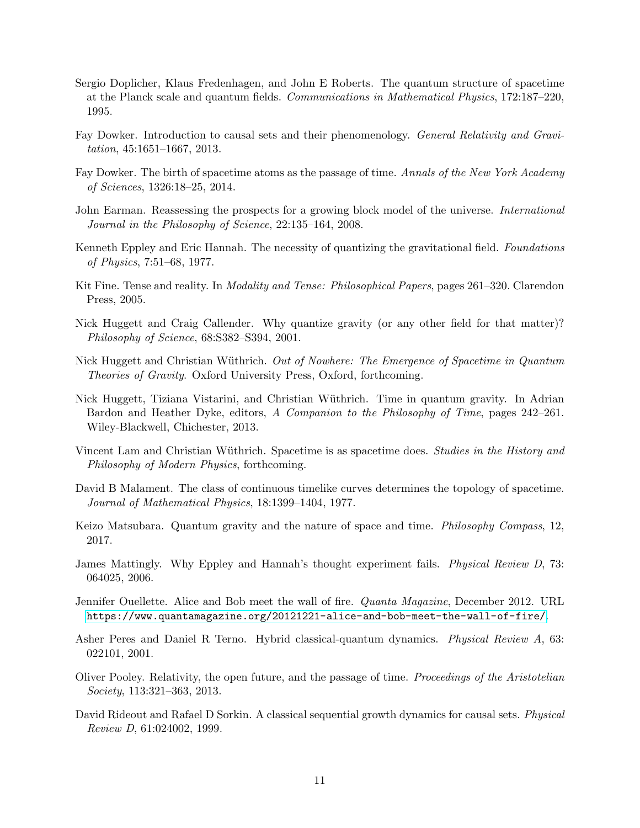- <span id="page-10-3"></span>Sergio Doplicher, Klaus Fredenhagen, and John E Roberts. The quantum structure of spacetime at the Planck scale and quantum fields. Communications in Mathematical Physics, 172:187–220, 1995.
- <span id="page-10-7"></span>Fay Dowker. Introduction to causal sets and their phenomenology. General Relativity and Gravitation, 45:1651–1667, 2013.
- <span id="page-10-9"></span>Fay Dowker. The birth of spacetime atoms as the passage of time. Annals of the New York Academy of Sciences, 1326:18–25, 2014.
- <span id="page-10-12"></span>John Earman. Reassessing the prospects for a growing block model of the universe. *International* Journal in the Philosophy of Science, 22:135–164, 2008.
- <span id="page-10-0"></span>Kenneth Eppley and Eric Hannah. The necessity of quantizing the gravitational field. Foundations of Physics, 7:51–68, 1977.
- <span id="page-10-11"></span>Kit Fine. Tense and reality. In *Modality and Tense: Philosophical Papers*, pages 261–320. Clarendon Press, 2005.
- <span id="page-10-1"></span>Nick Huggett and Craig Callender. Why quantize gravity (or any other field for that matter)? Philosophy of Science, 68:S382–S394, 2001.
- <span id="page-10-16"></span>Nick Huggett and Christian Wüthrich. Out of Nowhere: The Emergence of Spacetime in Quantum Theories of Gravity. Oxford University Press, Oxford, forthcoming.
- <span id="page-10-14"></span>Nick Huggett, Tiziana Vistarini, and Christian W¨uthrich. Time in quantum gravity. In Adrian Bardon and Heather Dyke, editors, A Companion to the Philosophy of Time, pages 242–261. Wiley-Blackwell, Chichester, 2013.
- <span id="page-10-15"></span>Vincent Lam and Christian Wüthrich. Spacetime is as spacetime does. Studies in the History and Philosophy of Modern Physics, forthcoming.
- <span id="page-10-6"></span>David B Malament. The class of continuous timelike curves determines the topology of spacetime. Journal of Mathematical Physics, 18:1399–1404, 1977.
- <span id="page-10-13"></span>Keizo Matsubara. Quantum gravity and the nature of space and time. Philosophy Compass, 12, 2017.
- <span id="page-10-2"></span>James Mattingly. Why Eppley and Hannah's thought experiment fails. Physical Review D, 73: 064025, 2006.
- <span id="page-10-5"></span>Jennifer Ouellette. Alice and Bob meet the wall of fire. Quanta Magazine, December 2012. URL <https://www.quantamagazine.org/20121221-alice-and-bob-meet-the-wall-of-fire/>.
- <span id="page-10-4"></span>Asher Peres and Daniel R Terno. Hybrid classical-quantum dynamics. Physical Review A, 63: 022101, 2001.
- <span id="page-10-10"></span>Oliver Pooley. Relativity, the open future, and the passage of time. Proceedings of the Aristotelian Society, 113:321–363, 2013.
- <span id="page-10-8"></span>David Rideout and Rafael D Sorkin. A classical sequential growth dynamics for causal sets. Physical Review D, 61:024002, 1999.